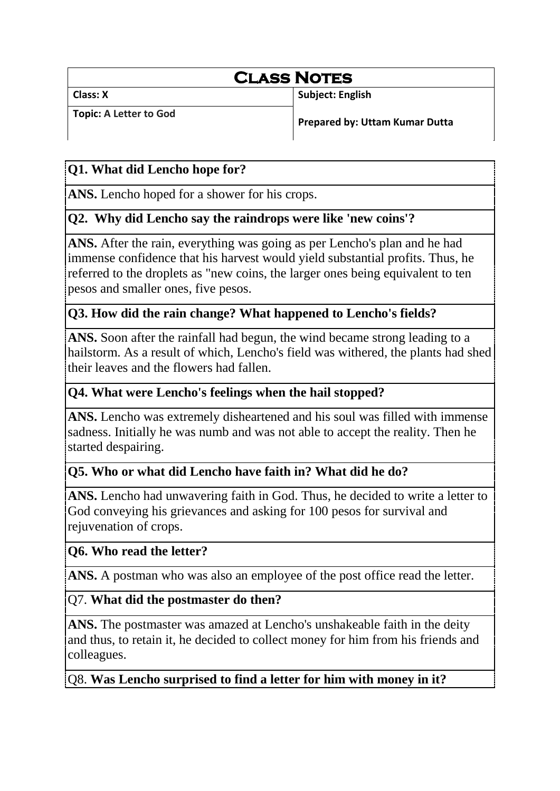# **Class Notes**

**Class: X Subject: English Subject: English** 

**Topic: A Letter to God**

**Prepared by: Uttam Kumar Dutta**

# **Q1. What did Lencho hope for?**

**ANS.** Lencho hoped for a shower for his crops.

# **Q2. Why did Lencho say the raindrops were like 'new coins'?**

**ANS.** After the rain, everything was going as per Lencho's plan and he had immense confidence that his harvest would yield substantial profits. Thus, he referred to the droplets as "new coins, the larger ones being equivalent to ten pesos and smaller ones, five pesos.

#### **Q3. How did the rain change? What happened to Lencho's fields?**

**ANS.** Soon after the rainfall had begun, the wind became strong leading to a hailstorm. As a result of which, Lencho's field was withered, the plants had shed their leaves and the flowers had fallen.

## **Q4. What were Lencho's feelings when the hail stopped?**

**ANS.** Lencho was extremely disheartened and his soul was filled with immense sadness. Initially he was numb and was not able to accept the reality. Then he started despairing.

# **Q5. Who or what did Lencho have faith in? What did he do?**

**ANS.** Lencho had unwavering faith in God. Thus, he decided to write a letter to God conveying his grievances and asking for 100 pesos for survival and rejuvenation of crops.

# **Q6. Who read the letter?**

ANS. A postman who was also an employee of the post office read the letter.

#### Q7. **What did the postmaster do then?**

**ANS.** The postmaster was amazed at Lencho's unshakeable faith in the deity and thus, to retain it, he decided to collect money for him from his friends and colleagues.

Q8. **Was Lencho surprised to find a letter for him with money in it?**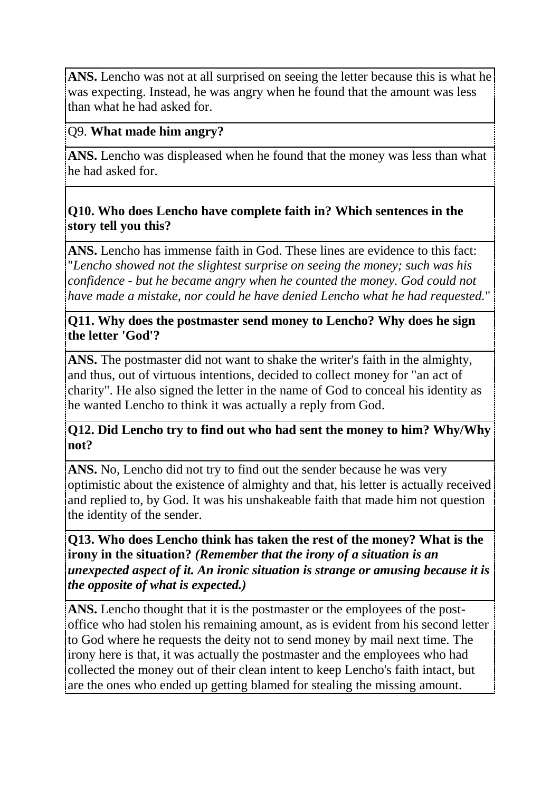**ANS.** Lencho was not at all surprised on seeing the letter because this is what he was expecting. Instead, he was angry when he found that the amount was less than what he had asked for.

#### Q9. **What made him angry?**

**ANS.** Lencho was displeased when he found that the money was less than what he had asked for.

#### **Q10. Who does Lencho have complete faith in? Which sentences in the story tell you this?**

**ANS.** Lencho has immense faith in God. These lines are evidence to this fact: "*Lencho showed not the slightest surprise on seeing the money; such was his confidence - but he became angry when he counted the money. God could not have made a mistake, nor could he have denied Lencho what he had requested.*"

#### **Q11. Why does the postmaster send money to Lencho? Why does he sign the letter 'God'?**

**ANS.** The postmaster did not want to shake the writer's faith in the almighty, and thus, out of virtuous intentions, decided to collect money for "an act of charity". He also signed the letter in the name of God to conceal his identity as he wanted Lencho to think it was actually a reply from God.

#### **Q12. Did Lencho try to find out who had sent the money to him? Why/Why not?**

**ANS.** No, Lencho did not try to find out the sender because he was very optimistic about the existence of almighty and that, his letter is actually received and replied to, by God. It was his unshakeable faith that made him not question the identity of the sender.

**Q13. Who does Lencho think has taken the rest of the money? What is the irony in the situation?** *(Remember that the irony of a situation is an unexpected aspect of it. An ironic situation is strange or amusing because it is the opposite of what is expected.)*

**ANS.** Lencho thought that it is the postmaster or the employees of the postoffice who had stolen his remaining amount, as is evident from his second letter to God where he requests the deity not to send money by mail next time. The irony here is that, it was actually the postmaster and the employees who had collected the money out of their clean intent to keep Lencho's faith intact, but are the ones who ended up getting blamed for stealing the missing amount.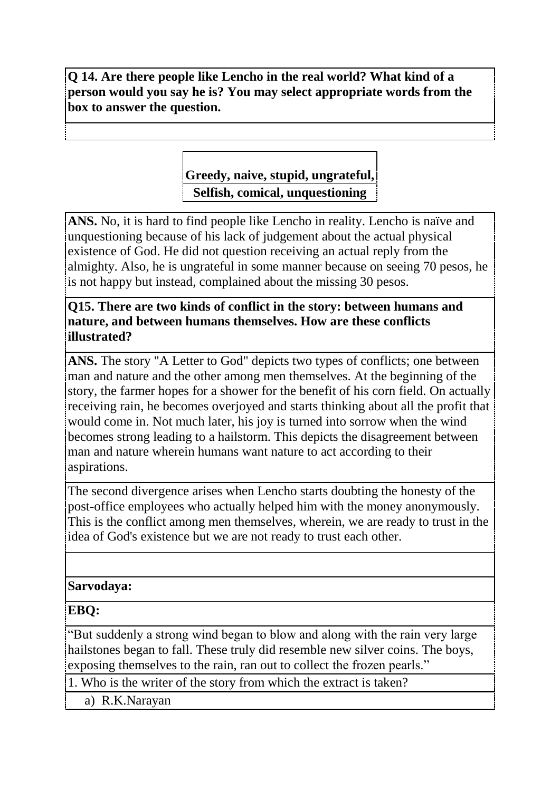**Q 14. Are there people like Lencho in the real world? What kind of a person would you say he is? You may select appropriate words from the box to answer the question.**

# **Greedy, naive, stupid, ungrateful, Selfish, comical, unquestioning**

**ANS.** No, it is hard to find people like Lencho in reality. Lencho is naïve and unquestioning because of his lack of judgement about the actual physical existence of God. He did not question receiving an actual reply from the almighty. Also, he is ungrateful in some manner because on seeing 70 pesos, he is not happy but instead, complained about the missing 30 pesos.

#### **Q15. There are two kinds of conflict in the story: between humans and nature, and between humans themselves. How are these conflicts illustrated?**

**ANS.** The story "A Letter to God" depicts two types of conflicts; one between man and nature and the other among men themselves. At the beginning of the story, the farmer hopes for a shower for the benefit of his corn field. On actually receiving rain, he becomes overjoyed and starts thinking about all the profit that would come in. Not much later, his joy is turned into sorrow when the wind becomes strong leading to a hailstorm. This depicts the disagreement between man and nature wherein humans want nature to act according to their aspirations.

The second divergence arises when Lencho starts doubting the honesty of the post-office employees who actually helped him with the money anonymously. This is the conflict among men themselves, wherein, we are ready to trust in the idea of God's existence but we are not ready to trust each other.

#### **Sarvodaya:**

**EBQ:**

"But suddenly a strong wind began to blow and along with the rain very large hailstones began to fall. These truly did resemble new silver coins. The boys, exposing themselves to the rain, ran out to collect the frozen pearls."

1. Who is the writer of the story from which the extract is taken?

a) R.K.Narayan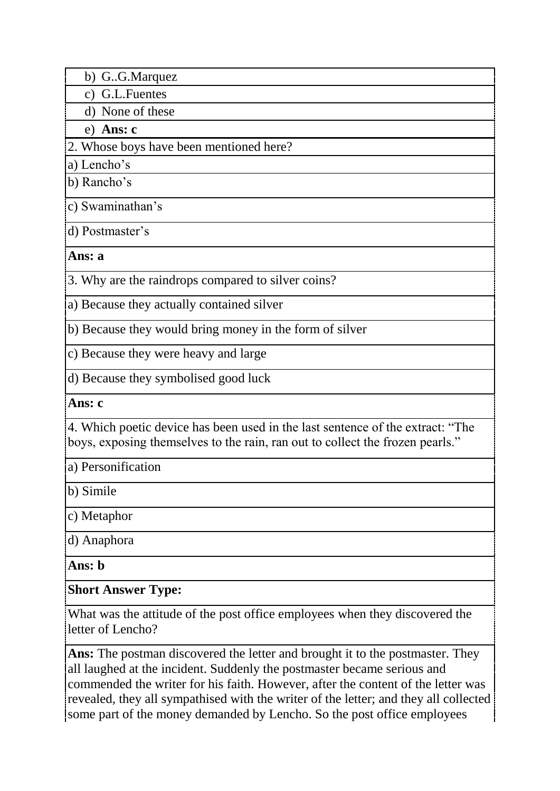- b) G..G.Marquez
- c) G.L.Fuentes

d) None of these

e) **Ans: c**

2. Whose boys have been mentioned here?

a) Lencho's

b) Rancho's

c) Swaminathan's

d) Postmaster's

**Ans: a**

3. Why are the raindrops compared to silver coins?

a) Because they actually contained silver

b) Because they would bring money in the form of silver

c) Because they were heavy and large

d) Because they symbolised good luck

**Ans: c**

4. Which poetic device has been used in the last sentence of the extract: "The boys, exposing themselves to the rain, ran out to collect the frozen pearls."

a) Personification

b) Simile

c) Metaphor

d) Anaphora

**Ans: b**

# **Short Answer Type:**

What was the attitude of the post office employees when they discovered the letter of Lencho?

**Ans:** The postman discovered the letter and brought it to the postmaster. They all laughed at the incident. Suddenly the postmaster became serious and commended the writer for his faith. However, after the content of the letter was revealed, they all sympathised with the writer of the letter; and they all collected some part of the money demanded by Lencho. So the post office employees